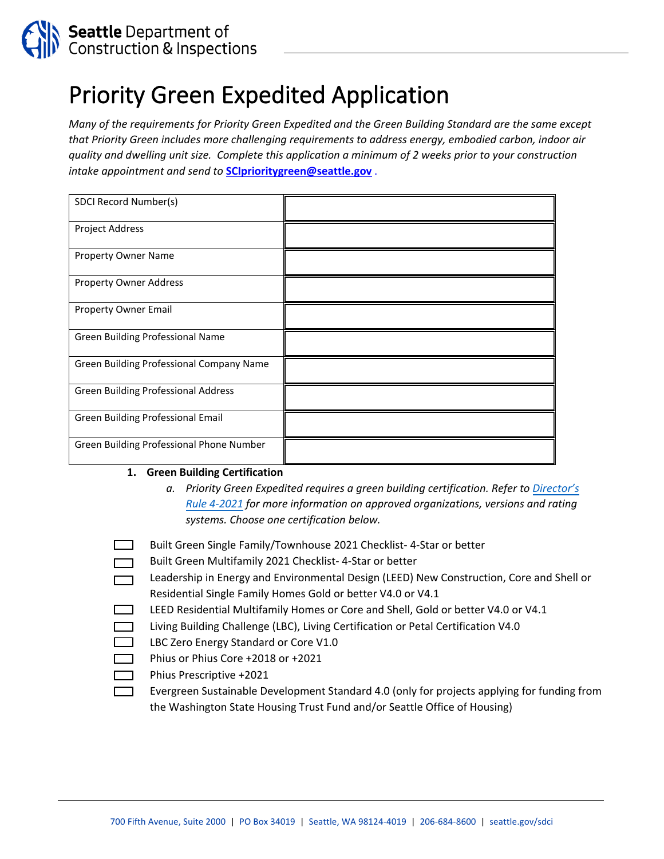

# Priority Green Expedited Application

*Many of the requirements for Priority Green Expedited and the Green Building Standard are the same except that Priority Green includes more challenging requirements to address energy, embodied carbon, indoor air quality and dwelling unit size. Complete this application a minimum of 2 weeks prior to your construction intake appointment and send to* **[SCIprioritygreen@seattle.gov](mailto:SCIprioritygreen@seattle.gov)** .

| SDCI Record Number(s)                      |  |
|--------------------------------------------|--|
| Project Address                            |  |
| Property Owner Name                        |  |
| <b>Property Owner Address</b>              |  |
| Property Owner Email                       |  |
| Green Building Professional Name           |  |
| Green Building Professional Company Name   |  |
| <b>Green Building Professional Address</b> |  |
| Green Building Professional Email          |  |
| Green Building Professional Phone Number   |  |

#### **1. Green Building Certification**

- *a. Priority Green Expedited requires a green building certification. Refer to [Director's](file://Cosfs01/sci/Home/HarrisJE/DOC/2020%20%20Green%20Building%20updates/blank%20Statement%20of%20Green%20Building%20Inspection.pdf) [Rule 4-2021](file://Cosfs01/sci/Home/HarrisJE/DOC/2020%20%20Green%20Building%20updates/blank%20Statement%20of%20Green%20Building%20Inspection.pdf) for more information on approved organizations, versions and rating systems. Choose one certification below.*
- Built Green Single Family/Townhouse 2021 Checklist- 4-Star or better
- Built Green Multifamily 2021 Checklist- 4-Star or better
- Leadership in Energy and Environmental Design (LEED) New Construction, Core and Shell or  $\Box$ Residential Single Family Homes Gold or better V4.0 or V4.1
- LEED Residential Multifamily Homes or Core and Shell, Gold or better V4.0 or V4.1
- Living Building Challenge (LBC), Living Certification or Petal Certification V4.0
- LBC Zero Energy Standard or Core V1.0
- Phius or Phius Core +2018 or +2021
- Phius Prescriptive +2021
- Evergreen Sustainable Development Standard 4.0 (only for projects applying for funding from the Washington State Housing Trust Fund and/or Seattle Office of Housing)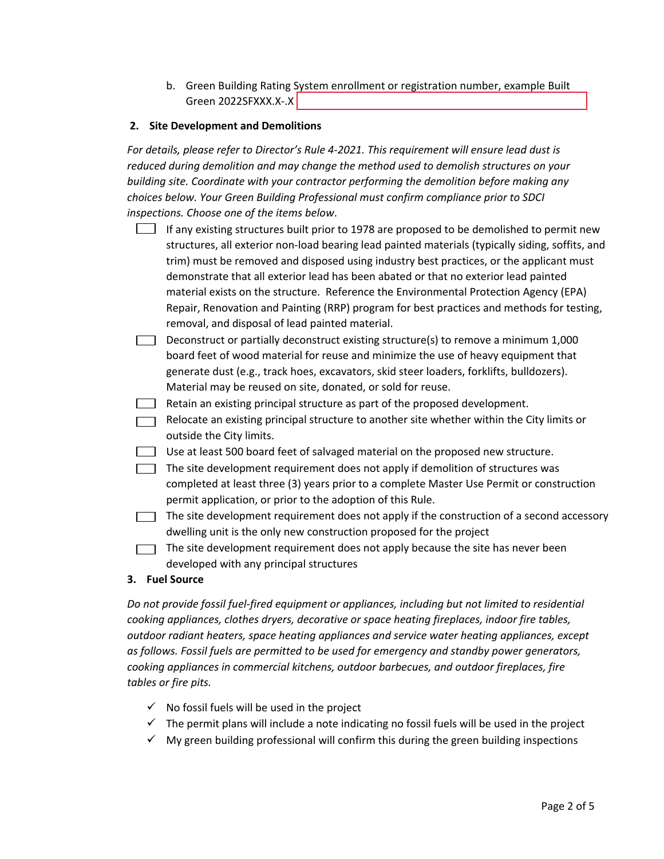b. Green Building Rating System enrollment or registration number, example Built Green 2022SFXXX.X-.X

## **2. Site Development and Demolitions**

*For details, please refer to Director's Rule 4-2021. This requirement will ensure lead dust is reduced during demolition and may change the method used to demolish structures on your building site. Coordinate with your contractor performing the demolition before making any choices below. Your Green Building Professional must confirm compliance prior to SDCI inspections. Choose one of the items below*.

- If any existing structures built prior to 1978 are proposed to be demolished to permit new structures, all exterior non-load bearing lead painted materials (typically siding, soffits, and trim) must be removed and disposed using industry best practices, or the applicant must demonstrate that all exterior lead has been abated or that no exterior lead painted material exists on the structure. Reference the Environmental Protection Agency (EPA) Repair, Renovation and Painting (RRP) program for best practices and methods for testing, removal, and disposal of lead painted material.
- Deconstruct or partially deconstruct existing structure(s) to remove a minimum  $1,000$ board feet of wood material for reuse and minimize the use of heavy equipment that generate dust (e.g., track hoes, excavators, skid steer loaders, forklifts, bulldozers). Material may be reused on site, donated, or sold for reuse.
- Retain an existing principal structure as part of the proposed development.
- Relocate an existing principal structure to another site whether within the City limits or outside the City limits.
- Use at least 500 board feet of salvaged material on the proposed new structure.
- The site development requirement does not apply if demolition of structures was completed at least three (3) years prior to a complete Master Use Permit or construction permit application, or prior to the adoption of this Rule.
- $\Box$  The site development requirement does not apply if the construction of a second accessory dwelling unit is the only new construction proposed for the project
- The site development requirement does not apply because the site has never been developed with any principal structures

#### **3. Fuel Source**

*Do not provide fossil fuel-fired equipment or appliances, including but not limited to residential cooking appliances, clothes dryers, decorative or space heating fireplaces, indoor fire tables, outdoor radiant heaters, space heating appliances and service water heating appliances, except as follows. Fossil fuels are permitted to be used for emergency and standby power generators, cooking appliances in commercial kitchens, outdoor barbecues, and outdoor fireplaces, fire tables or fire pits.*

- $\checkmark$  No fossil fuels will be used in the project
- $\checkmark$  The permit plans will include a note indicating no fossil fuels will be used in the project
- $\checkmark$  My green building professional will confirm this during the green building inspections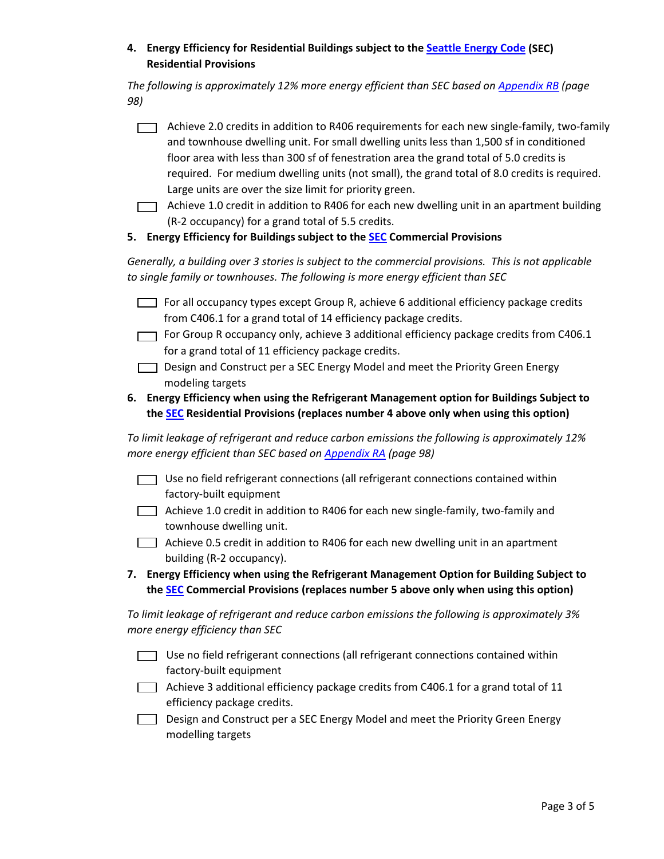## **4. Energy Efficiency for Residential Buildings subject to the Seattle Energy Code (SEC) Residential Provisions**

*The following is approximately 12% more energy efficient than SEC based o[n Appendix RB](https://sbcc.wa.gov/sites/default/files/2021-01/2018%20WSEC_R%20Final%20package2.pdf) (page 98)*

| $\Box$ | Achieve 2.0 credits in addition to R406 requirements for each new single-family, two-family<br>and townhouse dwelling unit. For small dwelling units less than 1,500 sf in conditioned<br>floor area with less than 300 sf of fenestration area the grand total of 5.0 credits is<br>required. For medium dwelling units (not small), the grand total of 8.0 credits is required. |  |
|--------|-----------------------------------------------------------------------------------------------------------------------------------------------------------------------------------------------------------------------------------------------------------------------------------------------------------------------------------------------------------------------------------|--|
|        | Large units are over the size limit for priority green.                                                                                                                                                                                                                                                                                                                           |  |
|        |                                                                                                                                                                                                                                                                                                                                                                                   |  |

- $\Box$  Achieve 1.0 credit in addition to R406 for each new dwelling unit in an apartment building (R-2 occupancy) for a grand total of 5.5 credits.
- **5. Energy Efficiency for Buildings subject to the [SEC](http://www.seattle.gov/sdci/codes/codes-we-enforce-(a-z)/energy-code#2018seattleenergycode) Commercial Provisions**

*Generally, a building over 3 stories is subject to the commercial provisions. This is not applicable to single family or townhouses. The following is more energy efficient than SEC*

- $\Box$  For all occupancy types except Group R, achieve 6 additional efficiency package credits from C406.1 for a grand total of 14 efficiency package credits.
- For Group R occupancy only, achieve 3 additional efficiency package credits from C406.1 for a grand total of 11 efficiency package credits.
- Design and Construct per a SEC Energy Model and meet the Priority Green Energy modeling targets
- **6. Energy Efficiency when using the Refrigerant Management option for Buildings Subject to the [SEC](http://www.seattle.gov/sdci/codes/codes-we-enforce-(a-z)/energy-code#2018seattleenergycode) Residential Provisions (replaces number 4 above only when using this option)**

*To limit leakage of refrigerant and reduce carbon emissions the following is approximately 12% more energy efficient than SEC based on [Appendix RA](https://sbcc.wa.gov/sites/default/files/2021-01/2018%20WSEC_R%20Final%20package2.pdf) (page 98)*

- $\Box$  Use no field refrigerant connections (all refrigerant connections contained within factory-built equipment
- Achieve 1.0 credit in addition to R406 for each new single-family, two-family and townhouse dwelling unit.
- Achieve 0.5 credit in addition to R406 for each new dwelling unit in an apartment building (R-2 occupancy).
- **7. Energy Efficiency when using the Refrigerant Management Option for Building Subject to the [SEC](http://www.seattle.gov/sdci/codes/codes-we-enforce-(a-z)/energy-code) Commercial Provisions (replaces number 5 above only when using this option)**

*To limit leakage of refrigerant and reduce carbon emissions the following is approximately 3% more energy efficiency than SEC*

- Use no field refrigerant connections (all refrigerant connections contained within factory-built equipment
- $\Box$  Achieve 3 additional efficiency package credits from C406.1 for a grand total of 11 efficiency package credits.
- Design and Construct per a SEC Energy Model and meet the Priority Green Energy modelling targets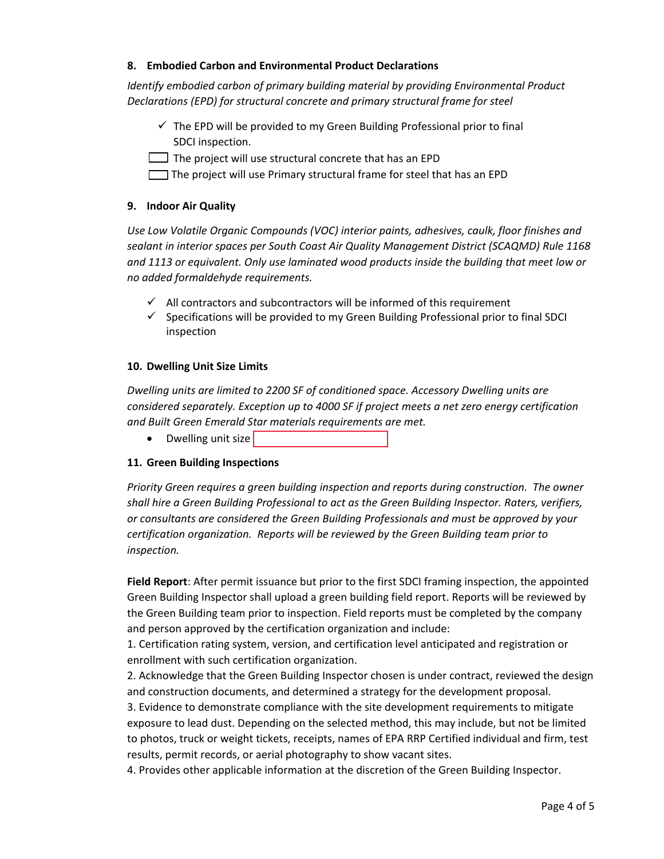## **8. Embodied Carbon and Environmental Product Declarations**

*Identify embodied carbon of primary building material by providing Environmental Product Declarations (EPD) for structural concrete and primary structural frame for steel*

- $\checkmark$  The EPD will be provided to my Green Building Professional prior to final SDCI inspection.
- $\Box$  The project will use structural concrete that has an EPD
- The project will use Primary structural frame for steel that has an EPD

## **9. Indoor Air Quality**

*Use Low Volatile Organic Compounds (VOC) interior paints, adhesives, caulk, floor finishes and sealant in interior spaces per South Coast Air Quality Management District (SCAQMD) Rule 1168 and 1113 or equivalent. Only use laminated wood products inside the building that meet low or no added formaldehyde requirements.* 

- $\checkmark$  All contractors and subcontractors will be informed of this requirement
- $\checkmark$  Specifications will be provided to my Green Building Professional prior to final SDCI inspection

## **10. Dwelling Unit Size Limits**

*Dwelling units are limited to 2200 SF of conditioned space. Accessory Dwelling units are considered separately. Exception up to 4000 SF if project meets a net zero energy certification and Built Green Emerald Star materials requirements are met.*

• Dwelling unit size

## **11. Green Building Inspections**

*Priority Green requires a green building inspection and reports during construction. The owner shall hire a Green Building Professional to act as the Green Building Inspector. Raters, verifiers, or consultants are considered the Green Building Professionals and must be approved by your certification organization. Reports will be reviewed by the Green Building team prior to inspection.* 

**Field Report**: After permit issuance but prior to the first SDCI framing inspection, the appointed Green Building Inspector shall upload a green building field report. Reports will be reviewed by the Green Building team prior to inspection. Field reports must be completed by the company and person approved by the certification organization and include:

1. Certification rating system, version, and certification level anticipated and registration or enrollment with such certification organization.

2. Acknowledge that the Green Building Inspector chosen is under contract, reviewed the design and construction documents, and determined a strategy for the development proposal.

3. Evidence to demonstrate compliance with the site development requirements to mitigate exposure to lead dust. Depending on the selected method, this may include, but not be limited to photos, truck or weight tickets, receipts, names of EPA RRP Certified individual and firm, test results, permit records, or aerial photography to show vacant sites.

4. Provides other applicable information at the discretion of the Green Building Inspector.